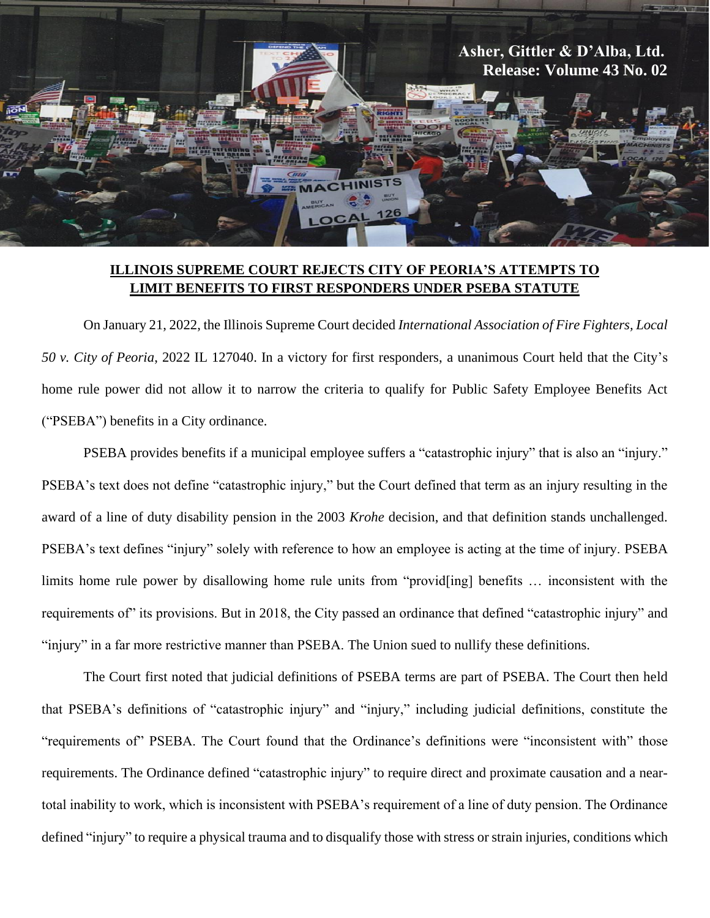

## **ILLINOIS SUPREME COURT REJECTS CITY OF PEORIA'S ATTEMPTS TO LIMIT BENEFITS TO FIRST RESPONDERS UNDER PSEBA STATUTE**

On January 21, 2022, the Illinois Supreme Court decided *International Association of Fire Fighters, Local 50 v. City of Peoria*, 2022 IL 127040. In a victory for first responders, a unanimous Court held that the City's home rule power did not allow it to narrow the criteria to qualify for Public Safety Employee Benefits Act ("PSEBA") benefits in a City ordinance.

PSEBA provides benefits if a municipal employee suffers a "catastrophic injury" that is also an "injury." PSEBA's text does not define "catastrophic injury," but the Court defined that term as an injury resulting in the award of a line of duty disability pension in the 2003 *Krohe* decision, and that definition stands unchallenged. PSEBA's text defines "injury" solely with reference to how an employee is acting at the time of injury. PSEBA limits home rule power by disallowing home rule units from "provid[ing] benefits … inconsistent with the requirements of its provisions. But in 2018, the City passed an ordinance that defined "catastrophic injury" and "injury" in a far more restrictive manner than PSEBA. The Union sued to nullify these definitions.

The Court first noted that judicial definitions of PSEBA terms are part of PSEBA. The Court then held that PSEBA's definitions of "catastrophic injury" and "injury," including judicial definitions, constitute the "requirements of" PSEBA. The Court found that the Ordinance's definitions were "inconsistent with" those requirements. The Ordinance defined "catastrophic injury" to require direct and proximate causation and a neartotal inability to work, which is inconsistent with PSEBA's requirement of a line of duty pension. The Ordinance defined "injury" to require a physical trauma and to disqualify those with stress or strain injuries, conditions which